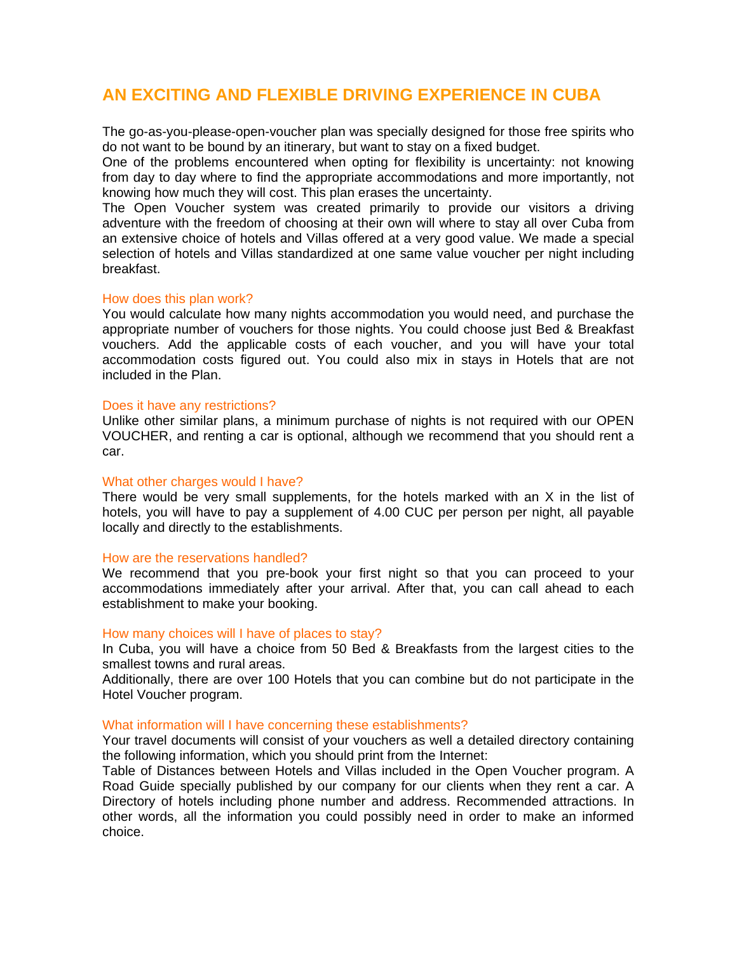# **AN EXCITING AND FLEXIBLE DRIVING EXPERIENCE IN CUBA**

The go-as-you-please-open-voucher plan was specially designed for those free spirits who do not want to be bound by an itinerary, but want to stay on a fixed budget.

One of the problems encountered when opting for flexibility is uncertainty: not knowing from day to day where to find the appropriate accommodations and more importantly, not knowing how much they will cost. This plan erases the uncertainty.

The Open Voucher system was created primarily to provide our visitors a driving adventure with the freedom of choosing at their own will where to stay all over Cuba from an extensive choice of hotels and Villas offered at a very good value. We made a special selection of hotels and Villas standardized at one same value voucher per night including breakfast.

#### How does this plan work?

You would calculate how many nights accommodation you would need, and purchase the appropriate number of vouchers for those nights. You could choose just Bed & Breakfast vouchers. Add the applicable costs of each voucher, and you will have your total accommodation costs figured out. You could also mix in stays in Hotels that are not included in the Plan.

#### Does it have any restrictions?

Unlike other similar plans, a minimum purchase of nights is not required with our OPEN VOUCHER, and renting a car is optional, although we recommend that you should rent a car.

#### What other charges would I have?

There would be very small supplements, for the hotels marked with an X in the list of hotels, you will have to pay a supplement of 4.00 CUC per person per night, all payable locally and directly to the establishments.

#### How are the reservations handled?

We recommend that you pre-book your first night so that you can proceed to your accommodations immediately after your arrival. After that, you can call ahead to each establishment to make your booking.

#### How many choices will I have of places to stay?

In Cuba, you will have a choice from 50 Bed & Breakfasts from the largest cities to the smallest towns and rural areas.

Additionally, there are over 100 Hotels that you can combine but do not participate in the Hotel Voucher program.

### What information will I have concerning these establishments?

Your travel documents will consist of your vouchers as well a detailed directory containing the following information, which you should print from the Internet:

Table of Distances between Hotels and Villas included in the Open Voucher program. A Road Guide specially published by our company for our clients when they rent a car. A Directory of hotels including phone number and address. Recommended attractions. In other words, all the information you could possibly need in order to make an informed choice.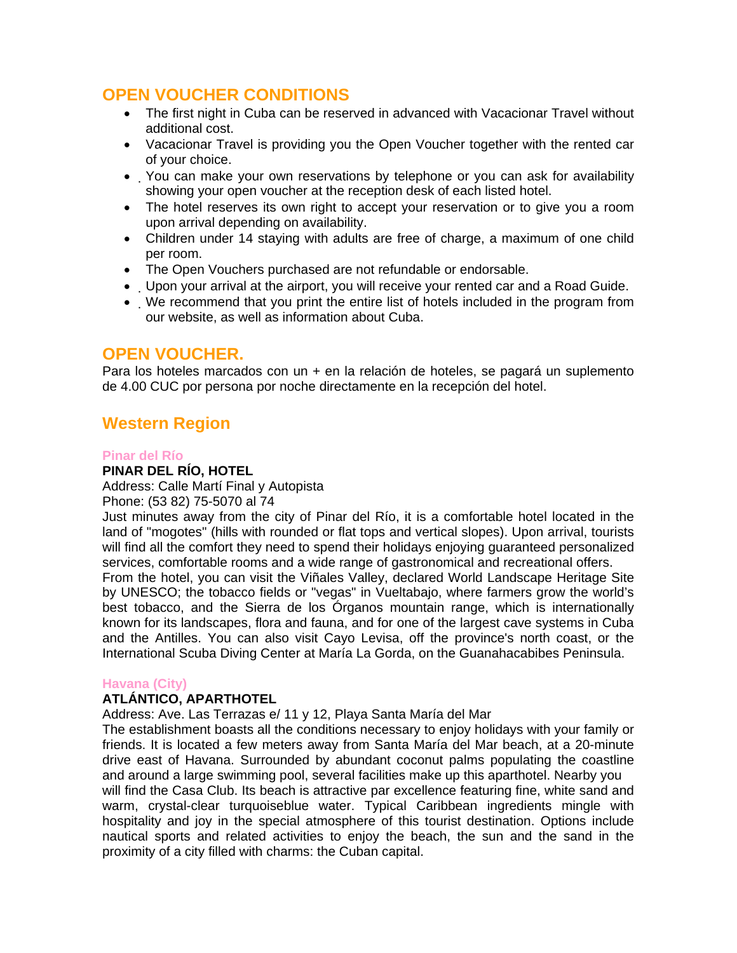# **OPEN VOUCHER CONDITIONS**

- The first night in Cuba can be reserved in advanced with Vacacionar Travel without additional cost.
- Vacacionar Travel is providing you the Open Voucher together with the rented car of your choice.
- You can make your own reservations by telephone or you can ask for availability showing your open voucher at the reception desk of each listed hotel.
- The hotel reserves its own right to accept your reservation or to give you a room upon arrival depending on availability.
- Children under 14 staying with adults are free of charge, a maximum of one child per room.
- The Open Vouchers purchased are not refundable or endorsable.
- Upon your arrival at the airport, you will receive your rented car and a Road Guide.
- We recommend that you print the entire list of hotels included in the program from our website, as well as information about Cuba.

# **OPEN VOUCHER.**

Para los hoteles marcados con un + en la relación de hoteles, se pagará un suplemento de 4.00 CUC por persona por noche directamente en la recepción del hotel.

# **Western Region**

## **Pinar del Río**

# **PINAR DEL RÍO, HOTEL**

Address: Calle Martí Final y Autopista

Phone: (53 82) 75-5070 al 74

Just minutes away from the city of Pinar del Río, it is a comfortable hotel located in the land of "mogotes" (hills with rounded or flat tops and vertical slopes). Upon arrival, tourists will find all the comfort they need to spend their holidays enjoying guaranteed personalized services, comfortable rooms and a wide range of gastronomical and recreational offers. From the hotel, you can visit the Viñales Valley, declared World Landscape Heritage Site by UNESCO; the tobacco fields or "vegas" in Vueltabajo, where farmers grow the world's best tobacco, and the Sierra de los Órganos mountain range, which is internationally known for its landscapes, flora and fauna, and for one of the largest cave systems in Cuba and the Antilles. You can also visit Cayo Levisa, off the province's north coast, or the International Scuba Diving Center at María La Gorda, on the Guanahacabibes Peninsula.

### **Havana (City)**

### **ATLÁNTICO, APARTHOTEL**

Address: Ave. Las Terrazas e/ 11 y 12, Playa Santa María del Mar

The establishment boasts all the conditions necessary to enjoy holidays with your family or friends. It is located a few meters away from Santa María del Mar beach, at a 20-minute drive east of Havana. Surrounded by abundant coconut palms populating the coastline and around a large swimming pool, several facilities make up this aparthotel. Nearby you will find the Casa Club. Its beach is attractive par excellence featuring fine, white sand and warm, crystal-clear turquoiseblue water. Typical Caribbean ingredients mingle with hospitality and joy in the special atmosphere of this tourist destination. Options include nautical sports and related activities to enjoy the beach, the sun and the sand in the proximity of a city filled with charms: the Cuban capital.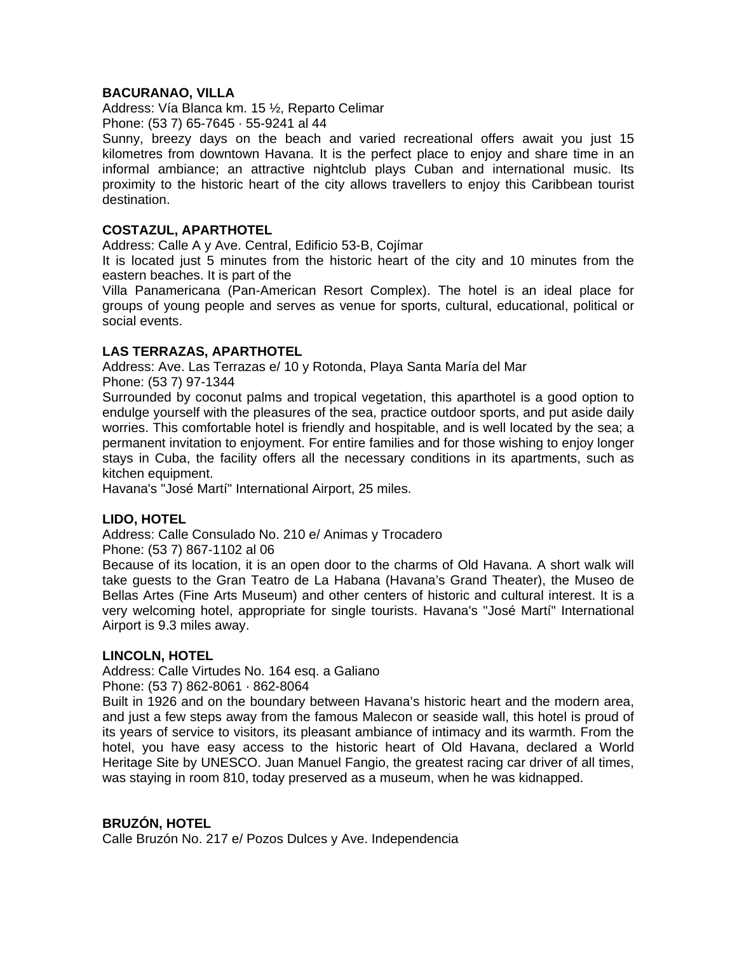## **BACURANAO, VILLA**

Address: Vía Blanca km. 15 ½, Reparto Celimar Phone: (53 7) 65-7645 · 55-9241 al 44

Sunny, breezy days on the beach and varied recreational offers await you just 15 kilometres from downtown Havana. It is the perfect place to enjoy and share time in an informal ambiance; an attractive nightclub plays Cuban and international music. Its proximity to the historic heart of the city allows travellers to enjoy this Caribbean tourist destination.

## **COSTAZUL, APARTHOTEL**

Address: Calle A y Ave. Central, Edificio 53-B, Cojímar

It is located just 5 minutes from the historic heart of the city and 10 minutes from the eastern beaches. It is part of the

Villa Panamericana (Pan-American Resort Complex). The hotel is an ideal place for groups of young people and serves as venue for sports, cultural, educational, political or social events.

## **LAS TERRAZAS, APARTHOTEL**

Address: Ave. Las Terrazas e/ 10 y Rotonda, Playa Santa María del Mar Phone: (53 7) 97-1344

Surrounded by coconut palms and tropical vegetation, this aparthotel is a good option to endulge yourself with the pleasures of the sea, practice outdoor sports, and put aside daily worries. This comfortable hotel is friendly and hospitable, and is well located by the sea; a permanent invitation to enjoyment. For entire families and for those wishing to enjoy longer stays in Cuba, the facility offers all the necessary conditions in its apartments, such as kitchen equipment.

Havana's "José Martí" International Airport, 25 miles.

### **LIDO, HOTEL**

Address: Calle Consulado No. 210 e/ Animas y Trocadero

Phone: (53 7) 867-1102 al 06

Because of its location, it is an open door to the charms of Old Havana. A short walk will take guests to the Gran Teatro de La Habana (Havana's Grand Theater), the Museo de Bellas Artes (Fine Arts Museum) and other centers of historic and cultural interest. It is a very welcoming hotel, appropriate for single tourists. Havana's "José Martí" International Airport is 9.3 miles away.

### **LINCOLN, HOTEL**

Address: Calle Virtudes No. 164 esq. a Galiano

Phone: (53 7) 862-8061 · 862-8064

Built in 1926 and on the boundary between Havana's historic heart and the modern area, and just a few steps away from the famous Malecon or seaside wall, this hotel is proud of its years of service to visitors, its pleasant ambiance of intimacy and its warmth. From the hotel, you have easy access to the historic heart of Old Havana, declared a World Heritage Site by UNESCO. Juan Manuel Fangio, the greatest racing car driver of all times, was staying in room 810, today preserved as a museum, when he was kidnapped.

## **BRUZÓN, HOTEL**

Calle Bruzón No. 217 e/ Pozos Dulces y Ave. Independencia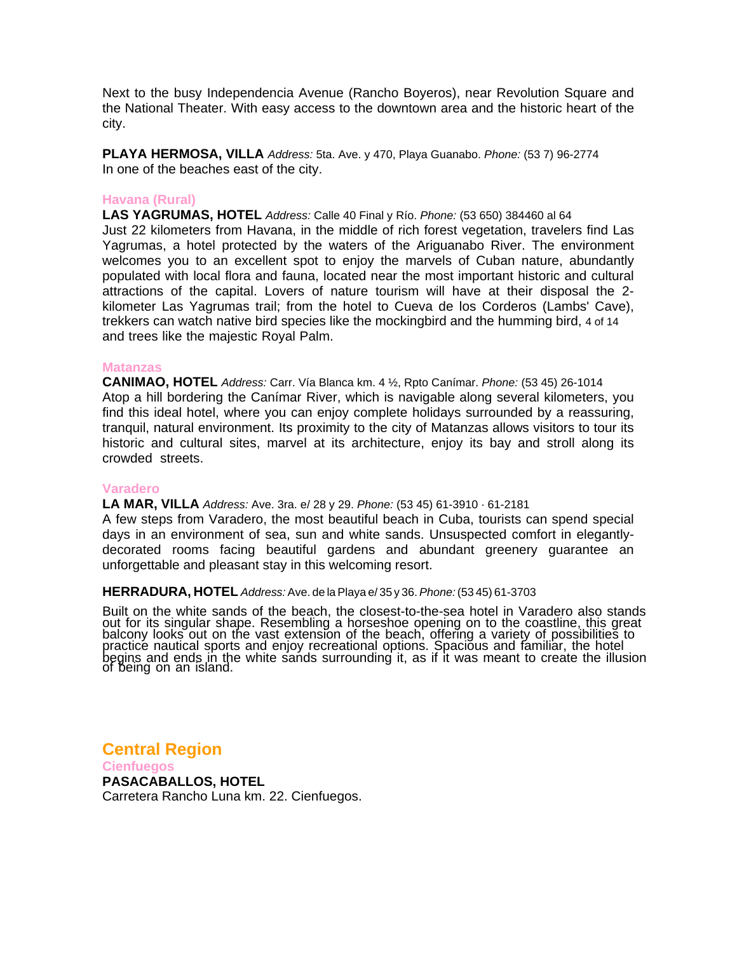Next to the busy Independencia Avenue (Rancho Boyeros), near Revolution Square and the National Theater. With easy access to the downtown area and the historic heart of the city.

**PLAYA HERMOSA, VILLA** *Address:* 5ta. Ave. y 470, Playa Guanabo. *Phone:* (53 7) 96-2774 In one of the beaches east of the city.

#### **Havana (Rural)**

**LAS YAGRUMAS, HOTEL** *Address:* Calle 40 Final y Río. *Phone:* (53 650) 384460 al 64 Just 22 kilometers from Havana, in the middle of rich forest vegetation, travelers find Las Yagrumas, a hotel protected by the waters of the Ariguanabo River. The environment welcomes you to an excellent spot to enjoy the marvels of Cuban nature, abundantly populated with local flora and fauna, located near the most important historic and cultural attractions of the capital. Lovers of nature tourism will have at their disposal the 2 kilometer Las Yagrumas trail; from the hotel to Cueva de los Corderos (Lambs' Cave), trekkers can watch native bird species like the mockingbird and the humming bird, 4 of 14 and trees like the majestic Royal Palm.

#### **Matanzas**

**CANIMAO, HOTEL** *Address:* Carr. Vía Blanca km. 4 ½, Rpto Canímar. *Phone:* (53 45) 26-1014 Atop a hill bordering the Canímar River, which is navigable along several kilometers, you find this ideal hotel, where you can enjoy complete holidays surrounded by a reassuring, tranquil, natural environment. Its proximity to the city of Matanzas allows visitors to tour its historic and cultural sites, marvel at its architecture, enjoy its bay and stroll along its crowded streets.

#### **Varadero**

#### **LA MAR, VILLA** *Address:* Ave. 3ra. e/ 28 y 29. *Phone:* (53 45) 61-3910 · 61-2181

A few steps from Varadero, the most beautiful beach in Cuba, tourists can spend special days in an environment of sea, sun and white sands. Unsuspected comfort in elegantlydecorated rooms facing beautiful gardens and abundant greenery guarantee an unforgettable and pleasant stay in this welcoming resort.

#### **HERRADURA, HOTEL** *Address:* Ave. de la Playa e/ 35 y 36. *Phone:* (53 45) 61-3703

Built on the white sands of the beach, the closest-to-the-sea hotel in Varadero also stands out for its singular shape. Resembling a horseshoe opening on to the coastline, this great balcony looks out on the vast extension of the beach, offering a variety of possibilities to practice nautical sports and enjoy recreational options. Spacious and familiar, the hotel<br>begins and ends in the white sands surrounding it, as if it was meant to create the illusion of being on an island.

**Central Region**

**Cienfuegos PASACABALLOS, HOTEL**  Carretera Rancho Luna km. 22. Cienfuegos.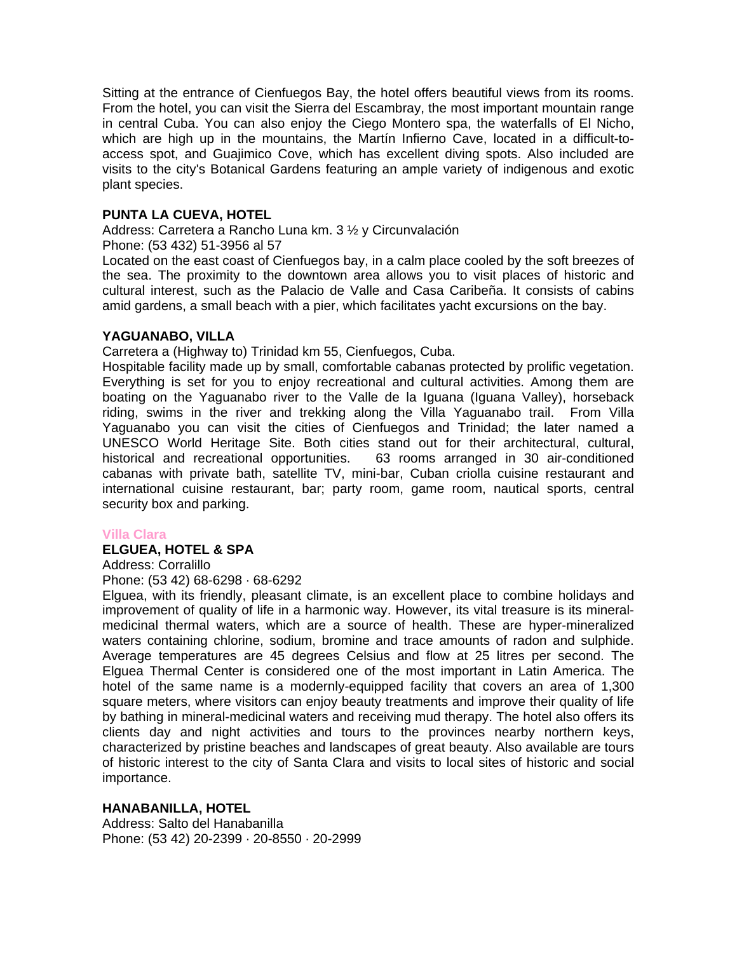Sitting at the entrance of Cienfuegos Bay, the hotel offers beautiful views from its rooms. From the hotel, you can visit the Sierra del Escambray, the most important mountain range in central Cuba. You can also enjoy the Ciego Montero spa, the waterfalls of El Nicho, which are high up in the mountains, the Martín Infierno Cave, located in a difficult-toaccess spot, and Guajimico Cove, which has excellent diving spots. Also included are visits to the city's Botanical Gardens featuring an ample variety of indigenous and exotic plant species.

## **PUNTA LA CUEVA, HOTEL**

Address: Carretera a Rancho Luna km. 3 ½ y Circunvalación

Phone: (53 432) 51-3956 al 57

Located on the east coast of Cienfuegos bay, in a calm place cooled by the soft breezes of the sea. The proximity to the downtown area allows you to visit places of historic and cultural interest, such as the Palacio de Valle and Casa Caribeña. It consists of cabins amid gardens, a small beach with a pier, which facilitates yacht excursions on the bay.

### **YAGUANABO, VILLA**

Carretera a (Highway to) Trinidad km 55, Cienfuegos, Cuba.

Hospitable facility made up by small, comfortable cabanas protected by prolific vegetation. Everything is set for you to enjoy recreational and cultural activities. Among them are boating on the Yaguanabo river to the Valle de la Iguana (Iguana Valley), horseback riding, swims in the river and trekking along the Villa Yaguanabo trail. From Villa Yaguanabo you can visit the cities of Cienfuegos and Trinidad; the later named a UNESCO World Heritage Site. Both cities stand out for their architectural, cultural, historical and recreational opportunities. 63 rooms arranged in 30 air-conditioned cabanas with private bath, satellite TV, mini-bar, Cuban criolla cuisine restaurant and international cuisine restaurant, bar; party room, game room, nautical sports, central security box and parking.

### **Villa Clara**

### **ELGUEA, HOTEL & SPA**

Address: Corralillo

Phone: (53 42) 68-6298 · 68-6292

Elguea, with its friendly, pleasant climate, is an excellent place to combine holidays and improvement of quality of life in a harmonic way. However, its vital treasure is its mineralmedicinal thermal waters, which are a source of health. These are hyper-mineralized waters containing chlorine, sodium, bromine and trace amounts of radon and sulphide. Average temperatures are 45 degrees Celsius and flow at 25 litres per second. The Elguea Thermal Center is considered one of the most important in Latin America. The hotel of the same name is a modernly-equipped facility that covers an area of 1,300 square meters, where visitors can enjoy beauty treatments and improve their quality of life by bathing in mineral-medicinal waters and receiving mud therapy. The hotel also offers its clients day and night activities and tours to the provinces nearby northern keys, characterized by pristine beaches and landscapes of great beauty. Also available are tours of historic interest to the city of Santa Clara and visits to local sites of historic and social importance.

### **HANABANILLA, HOTEL**

Address: Salto del Hanabanilla Phone: (53 42) 20-2399 · 20-8550 · 20-2999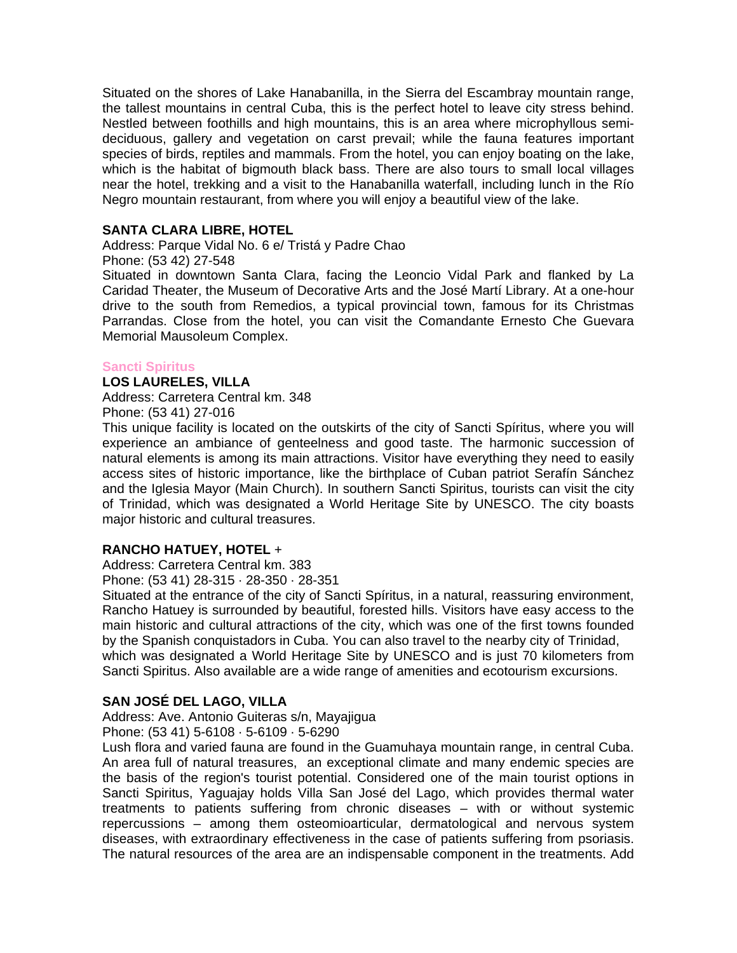Situated on the shores of Lake Hanabanilla, in the Sierra del Escambray mountain range, the tallest mountains in central Cuba, this is the perfect hotel to leave city stress behind. Nestled between foothills and high mountains, this is an area where microphyllous semideciduous, gallery and vegetation on carst prevail; while the fauna features important species of birds, reptiles and mammals. From the hotel, you can enjoy boating on the lake, which is the habitat of bigmouth black bass. There are also tours to small local villages near the hotel, trekking and a visit to the Hanabanilla waterfall, including lunch in the Río Negro mountain restaurant, from where you will enjoy a beautiful view of the lake.

## **SANTA CLARA LIBRE, HOTEL**

Address: Parque Vidal No. 6 e/ Tristá y Padre Chao

Phone: (53 42) 27-548

Situated in downtown Santa Clara, facing the Leoncio Vidal Park and flanked by La Caridad Theater, the Museum of Decorative Arts and the José Martí Library. At a one-hour drive to the south from Remedios, a typical provincial town, famous for its Christmas Parrandas. Close from the hotel, you can visit the Comandante Ernesto Che Guevara Memorial Mausoleum Complex.

#### **Sancti Spiritus**

**LOS LAURELES, VILLA**  Address: Carretera Central km. 348

Phone: (53 41) 27-016

This unique facility is located on the outskirts of the city of Sancti Spíritus, where you will experience an ambiance of genteelness and good taste. The harmonic succession of natural elements is among its main attractions. Visitor have everything they need to easily access sites of historic importance, like the birthplace of Cuban patriot Serafín Sánchez and the Iglesia Mayor (Main Church). In southern Sancti Spiritus, tourists can visit the city of Trinidad, which was designated a World Heritage Site by UNESCO. The city boasts major historic and cultural treasures.

### **RANCHO HATUEY, HOTEL** +

Address: Carretera Central km. 383

Phone: (53 41) 28-315 · 28-350 · 28-351

Situated at the entrance of the city of Sancti Spíritus, in a natural, reassuring environment, Rancho Hatuey is surrounded by beautiful, forested hills. Visitors have easy access to the main historic and cultural attractions of the city, which was one of the first towns founded by the Spanish conquistadors in Cuba. You can also travel to the nearby city of Trinidad, which was designated a World Heritage Site by UNESCO and is just 70 kilometers from Sancti Spiritus. Also available are a wide range of amenities and ecotourism excursions.

# **SAN JOSÉ DEL LAGO, VILLA**

Address: Ave. Antonio Guiteras s/n, Mayajigua

Phone: (53 41) 5-6108 · 5-6109 · 5-6290

Lush flora and varied fauna are found in the Guamuhaya mountain range, in central Cuba. An area full of natural treasures, an exceptional climate and many endemic species are the basis of the region's tourist potential. Considered one of the main tourist options in Sancti Spiritus, Yaguajay holds Villa San José del Lago, which provides thermal water treatments to patients suffering from chronic diseases – with or without systemic repercussions – among them osteomioarticular, dermatological and nervous system diseases, with extraordinary effectiveness in the case of patients suffering from psoriasis. The natural resources of the area are an indispensable component in the treatments. Add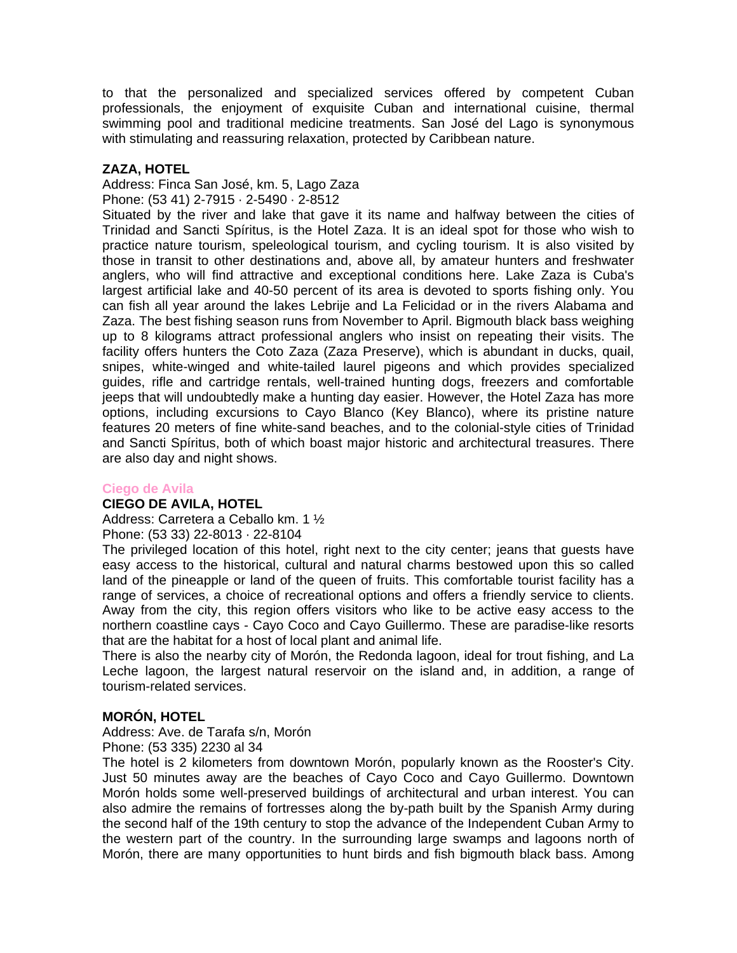to that the personalized and specialized services offered by competent Cuban professionals, the enjoyment of exquisite Cuban and international cuisine, thermal swimming pool and traditional medicine treatments. San José del Lago is synonymous with stimulating and reassuring relaxation, protected by Caribbean nature.

## **ZAZA, HOTEL**

Address: Finca San José, km. 5, Lago Zaza

Phone: (53 41) 2-7915 · 2-5490 · 2-8512

 Trinidad and Sancti Spíritus, is the Hotel Zaza. It is an ideal spot for those who wish to anglers, who will find attractive and exceptional conditions here. Lake Zaza is Cuba's Situated by the river and lake that gave it its name and halfway between the cities of practice nature tourism, speleological tourism, and cycling tourism. It is also visited by those in transit to other destinations and, above all, by amateur hunters and freshwater largest artificial lake and 40-50 percent of its area is devoted to sports fishing only. You can fish all year around the lakes Lebrije and La Felicidad or in the rivers Alabama and Zaza. The best fishing season runs from November to April. Bigmouth black bass weighing up to 8 kilograms attract professional anglers who insist on repeating their visits. The facility offers hunters the Coto Zaza (Zaza Preserve), which is abundant in ducks, quail, snipes, white-winged and white-tailed laurel pigeons and which provides specialized guides, rifle and cartridge rentals, well-trained hunting dogs, freezers and comfortable jeeps that will undoubtedly make a hunting day easier. However, the Hotel Zaza has more options, including excursions to Cayo Blanco (Key Blanco), where its pristine nature features 20 meters of fine white-sand beaches, and to the colonial-style cities of Trinidad and Sancti Spíritus, both of which boast major historic and architectural treasures. There are also day and night shows.

### **Ciego de Avila**

### **CIEGO DE AVILA, HOTEL**

Address: Carretera a Ceballo km. 1 ½

Phone: (53 33) 22-8013 · 22-8104

The privileged location of this hotel, right next to the city center; jeans that guests have easy access to the historical, cultural and natural charms bestowed upon this so called land of the pineapple or land of the queen of fruits. This comfortable tourist facility has a range of services, a choice of recreational options and offers a friendly service to clients. Away from the city, this region offers visitors who like to be active easy access to the northern coastline cays - Cayo Coco and Cayo Guillermo. These are paradise-like resorts that are the habitat for a host of local plant and animal life.

There is also the nearby city of Morón, the Redonda lagoon, ideal for trout fishing, and La Leche lagoon, the largest natural reservoir on the island and, in addition, a range of tourism-related services.

# **MORÓN, HOTEL**

Address: Ave. de Tarafa s/n, Morón Phone: (53 335) 2230 al 34

The hotel is 2 kilometers from downtown Morón, popularly known as the Rooster's City. Just 50 minutes away are the beaches of Cayo Coco and Cayo Guillermo. Downtown Morón holds some well-preserved buildings of architectural and urban interest. You can also admire the remains of fortresses along the by-path built by the Spanish Army during the second half of the 19th century to stop the advance of the Independent Cuban Army to the western part of the country. In the surrounding large swamps and lagoons north of Morón, there are many opportunities to hunt birds and fish bigmouth black bass. Among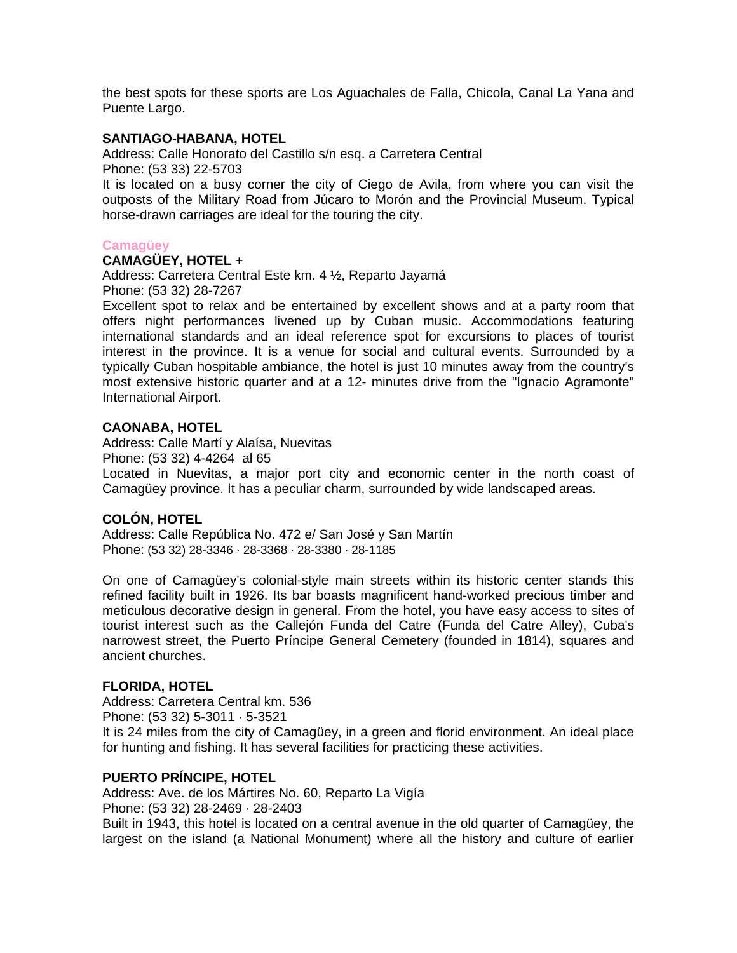the best spots for these sports are Los Aguachales de Falla, Chicola, Canal La Yana and Puente Largo.

## **SANTIAGO-HABANA, HOTEL**

Address: Calle Honorato del Castillo s/n esq. a Carretera Central Phone: (53 33) 22-5703

It is located on a busy corner the city of Ciego de Avila, from where you can visit the outposts of the Military Road from Júcaro to Morón and the Provincial Museum. Typical horse-drawn carriages are ideal for the touring the city.

#### **Camagüey**

### **CAMAGÜEY, HOTEL** +

Address: Carretera Central Este km. 4 ½, Reparto Jayamá Phone: (53 32) 28-7267

Excellent spot to relax and be entertained by excellent shows and at a party room that offers night performances livened up by Cuban music. Accommodations featuring international standards and an ideal reference spot for excursions to places of tourist interest in the province. It is a venue for social and cultural events. Surrounded by a typically Cuban hospitable ambiance, the hotel is just 10 minutes away from the country's most extensive historic quarter and at a 12- minutes drive from the "Ignacio Agramonte" International Airport.

### **CAONABA, HOTEL**

Address: Calle Martí y Alaísa, Nuevitas Phone: (53 32) 4-4264 al 65 Located in Nuevitas, a major port city and economic center in the north coast of Camagüey province. It has a peculiar charm, surrounded by wide landscaped areas.

### **COLÓN, HOTEL**

Address: Calle República No. 472 e/ San José y San Martín Phone: (53 32) 28-3346 · 28-3368 · 28-3380 · 28-1185

On one of Camagüey's colonial-style main streets within its historic center stands this refined facility built in 1926. Its bar boasts magnificent hand-worked precious timber and meticulous decorative design in general. From the hotel, you have easy access to sites of tourist interest such as the Callejón Funda del Catre (Funda del Catre Alley), Cuba's narrowest street, the Puerto Príncipe General Cemetery (founded in 1814), squares and ancient churches.

### **FLORIDA, HOTEL**

Address: Carretera Central km. 536 Phone: (53 32) 5-3011 · 5-3521 It is 24 miles from the city of Camagüey, in a green and florid environment. An ideal place for hunting and fishing. It has several facilities for practicing these activities.

## **PUERTO PRÍNCIPE, HOTEL**

Address: Ave. de los Mártires No. 60, Reparto La Vigía Phone: (53 32) 28-2469 · 28-2403 Built in 1943, this hotel is located on a central avenue in the old quarter of Camagüey, the largest on the island (a National Monument) where all the history and culture of earlier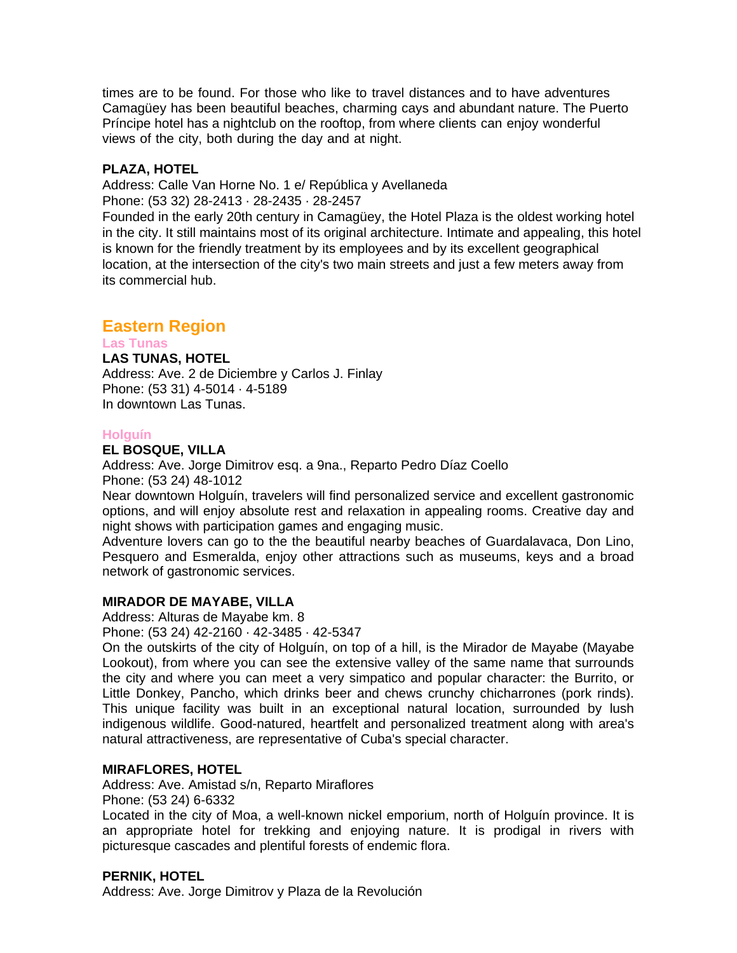times are to be found. For those who like to travel distances and to have adventures Camagüey has been beautiful beaches, charming cays and abundant nature. The Puerto Príncipe hotel has a nightclub on the rooftop, from where clients can enjoy wonderful views of the city, both during the day and at night.

# **PLAZA, HOTEL**

Address: Calle Van Horne No. 1 e/ República y Avellaneda Phone: (53 32) 28-2413 · 28-2435 · 28-2457

Founded in the early 20th century in Camagüey, the Hotel Plaza is the oldest working hotel in the city. It still maintains most of its original architecture. Intimate and appealing, this hotel is known for the friendly treatment by its employees and by its excellent geographical location, at the intersection of the city's two main streets and just a few meters away from its commercial hub.

# **Eastern Region**

**Las Tunas LAS TUNAS, HOTEL**  Address: Ave. 2 de Diciembre y Carlos J. Finlay Phone: (53 31) 4-5014 · 4-5189 In downtown Las Tunas.

# **Holguín**

### **EL BOSQUE, VILLA**

Address: Ave. Jorge Dimitrov esq. a 9na., Reparto Pedro Díaz Coello Phone: (53 24) 48-1012

Near downtown Holguín, travelers will find personalized service and excellent gastronomic options, and will enjoy absolute rest and relaxation in appealing rooms. Creative day and night shows with participation games and engaging music.

Adventure lovers can go to the the beautiful nearby beaches of Guardalavaca, Don Lino, Pesquero and Esmeralda, enjoy other attractions such as museums, keys and a broad network of gastronomic services.

# **MIRADOR DE MAYABE, VILLA**

Address: Alturas de Mayabe km. 8

Phone: (53 24) 42-2160 · 42-3485 · 42-5347

On the outskirts of the city of Holguín, on top of a hill, is the Mirador de Mayabe (Mayabe Lookout), from where you can see the extensive valley of the same name that surrounds the city and where you can meet a very simpatico and popular character: the Burrito, or Little Donkey, Pancho, which drinks beer and chews crunchy chicharrones (pork rinds). This unique facility was built in an exceptional natural location, surrounded by lush indigenous wildlife. Good-natured, heartfelt and personalized treatment along with area's natural attractiveness, are representative of Cuba's special character.

# **MIRAFLORES, HOTEL**

Address: Ave. Amistad s/n, Reparto Miraflores

Phone: (53 24) 6-6332

Located in the city of Moa, a well-known nickel emporium, north of Holguín province. It is an appropriate hotel for trekking and enjoying nature. It is prodigal in rivers with picturesque cascades and plentiful forests of endemic flora.

# **PERNIK, HOTEL**

Address: Ave. Jorge Dimitrov y Plaza de la Revolución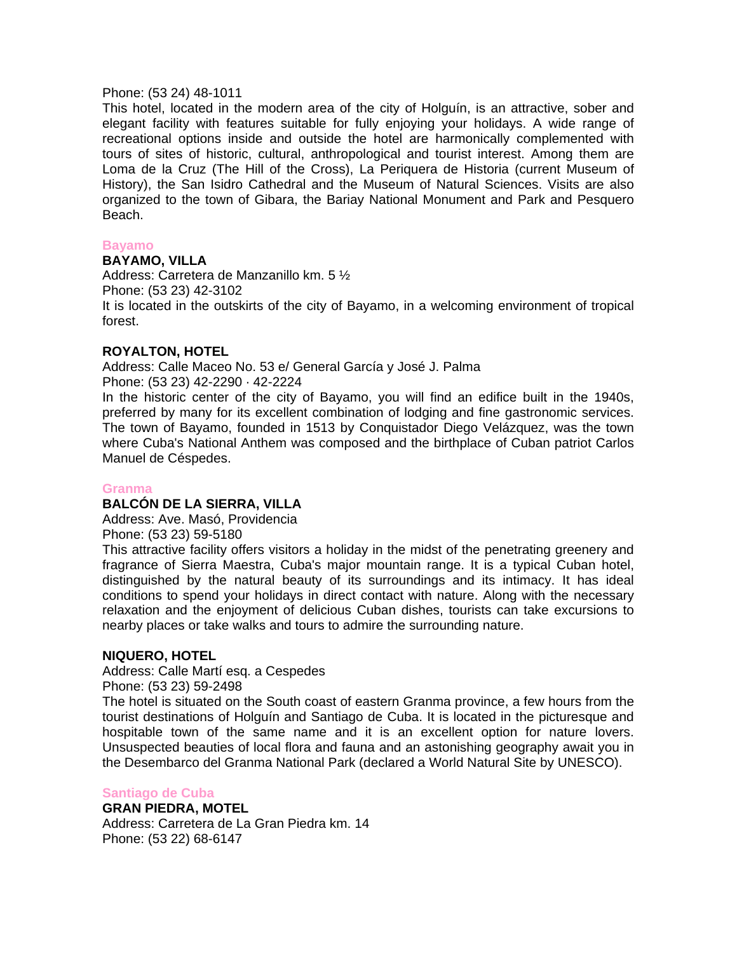#### Phone: (53 24) 48-1011

This hotel, located in the modern area of the city of Holguín, is an attractive, sober and elegant facility with features suitable for fully enjoying your holidays. A wide range of recreational options inside and outside the hotel are harmonically complemented with tours of sites of historic, cultural, anthropological and tourist interest. Among them are Loma de la Cruz (The Hill of the Cross), La Periquera de Historia (current Museum of History), the San Isidro Cathedral and the Museum of Natural Sciences. Visits are also organized to the town of Gibara, the Bariay National Monument and Park and Pesquero Beach.

#### **Bayamo**

## **BAYAMO, VILLA**

Address: Carretera de Manzanillo km. 5 ½ Phone: (53 23) 42-3102 It is located in the outskirts of the city of Bayamo, in a welcoming environment of tropical forest.

### **ROYALTON, HOTEL**

Address: Calle Maceo No. 53 e/ General García y José J. Palma Phone: (53 23) 42-2290 · 42-2224

In the historic center of the city of Bayamo, you will find an edifice built in the 1940s, preferred by many for its excellent combination of lodging and fine gastronomic services. The town of Bayamo, founded in 1513 by Conquistador Diego Velázquez, was the town where Cuba's National Anthem was composed and the birthplace of Cuban patriot Carlos Manuel de Céspedes.

### **Granma**

# **BALCÓN DE LA SIERRA, VILLA**

Address: Ave. Masó, Providencia

Phone: (53 23) 59-5180

This attractive facility offers visitors a holiday in the midst of the penetrating greenery and fragrance of Sierra Maestra, Cuba's major mountain range. It is a typical Cuban hotel, distinguished by the natural beauty of its surroundings and its intimacy. It has ideal conditions to spend your holidays in direct contact with nature. Along with the necessary relaxation and the enjoyment of delicious Cuban dishes, tourists can take excursions to nearby places or take walks and tours to admire the surrounding nature.

### **NIQUERO, HOTEL**

Address: Calle Martí esq. a Cespedes Phone: (53 23) 59-2498

The hotel is situated on the South coast of eastern Granma province, a few hours from the tourist destinations of Holguín and Santiago de Cuba. It is located in the picturesque and hospitable town of the same name and it is an excellent option for nature lovers. Unsuspected beauties of local flora and fauna and an astonishing geography await you in the Desembarco del Granma National Park (declared a World Natural Site by UNESCO).

### **Santiago de Cuba**

**GRAN PIEDRA, MOTEL**  Address: Carretera de La Gran Piedra km. 14 Phone: (53 22) 68-6147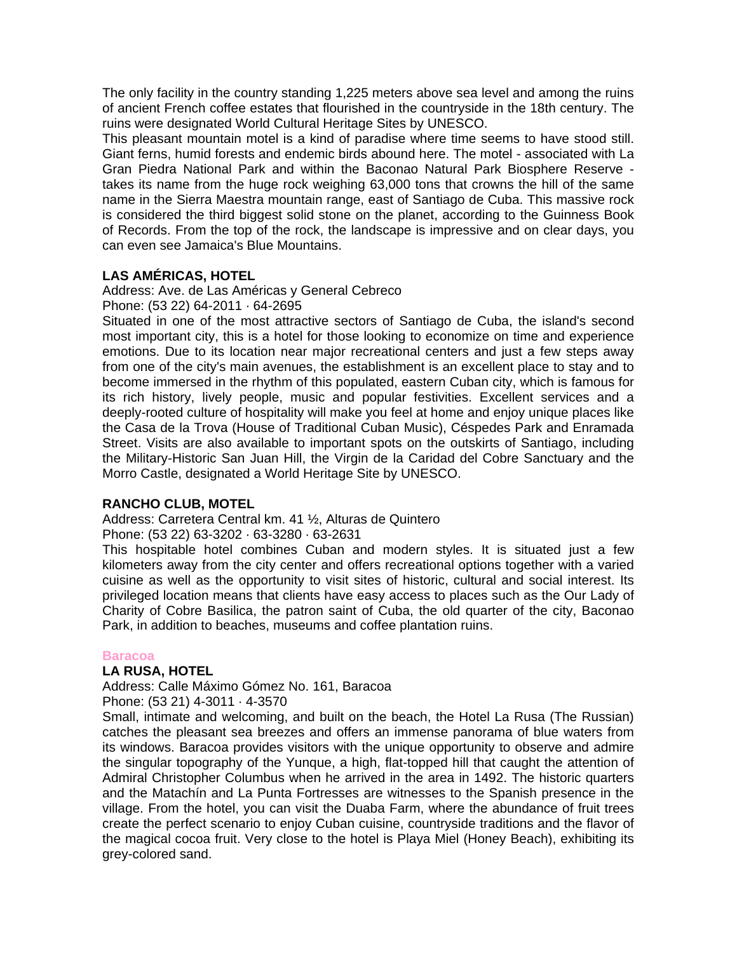The only facility in the country standing 1,225 meters above sea level and among the ruins of ancient French coffee estates that flourished in the countryside in the 18th century. The ruins were designated World Cultural Heritage Sites by UNESCO.

This pleasant mountain motel is a kind of paradise where time seems to have stood still. Giant ferns, humid forests and endemic birds abound here. The motel - associated with La Gran Piedra National Park and within the Baconao Natural Park Biosphere Reserve takes its name from the huge rock weighing 63,000 tons that crowns the hill of the same name in the Sierra Maestra mountain range, east of Santiago de Cuba. This massive rock is considered the third biggest solid stone on the planet, according to the Guinness Book of Records. From the top of the rock, the landscape is impressive and on clear days, you can even see Jamaica's Blue Mountains.

## **LAS AMÉRICAS, HOTEL**

Address: Ave. de Las Américas y General Cebreco

Phone: (53 22) 64-2011 · 64-2695

Situated in one of the most attractive sectors of Santiago de Cuba, the island's second most important city, this is a hotel for those looking to economize on time and experience emotions. Due to its location near major recreational centers and just a few steps away from one of the city's main avenues, the establishment is an excellent place to stay and to become immersed in the rhythm of this populated, eastern Cuban city, which is famous for its rich history, lively people, music and popular festivities. Excellent services and a deeply-rooted culture of hospitality will make you feel at home and enjoy unique places like the Casa de la Trova (House of Traditional Cuban Music), Céspedes Park and Enramada Street. Visits are also available to important spots on the outskirts of Santiago, including the Military-Historic San Juan Hill, the Virgin de la Caridad del Cobre Sanctuary and the Morro Castle, designated a World Heritage Site by UNESCO.

### **RANCHO CLUB, MOTEL**

Address: Carretera Central km. 41 ½, Alturas de Quintero

Phone: (53 22) 63-3202 · 63-3280 · 63-2631

This hospitable hotel combines Cuban and modern styles. It is situated just a few kilometers away from the city center and offers recreational options together with a varied cuisine as well as the opportunity to visit sites of historic, cultural and social interest. Its privileged location means that clients have easy access to places such as the Our Lady of Charity of Cobre Basilica, the patron saint of Cuba, the old quarter of the city, Baconao Park, in addition to beaches, museums and coffee plantation ruins.

### **Baracoa**

### **LA RUSA, HOTEL**

Address: Calle Máximo Gómez No. 161, Baracoa

Phone: (53 21) 4-3011 · 4-3570

 and the Matachín and La Punta Fortresses are witnesses to the Spanish presence in the Small, intimate and welcoming, and built on the beach, the Hotel La Rusa (The Russian) catches the pleasant sea breezes and offers an immense panorama of blue waters from its windows. Baracoa provides visitors with the unique opportunity to observe and admire the singular topography of the Yunque, a high, flat-topped hill that caught the attention of Admiral Christopher Columbus when he arrived in the area in 1492. The historic quarters village. From the hotel, you can visit the Duaba Farm, where the abundance of fruit trees create the perfect scenario to enjoy Cuban cuisine, countryside traditions and the flavor of the magical cocoa fruit. Very close to the hotel is Playa Miel (Honey Beach), exhibiting its grey-colored sand.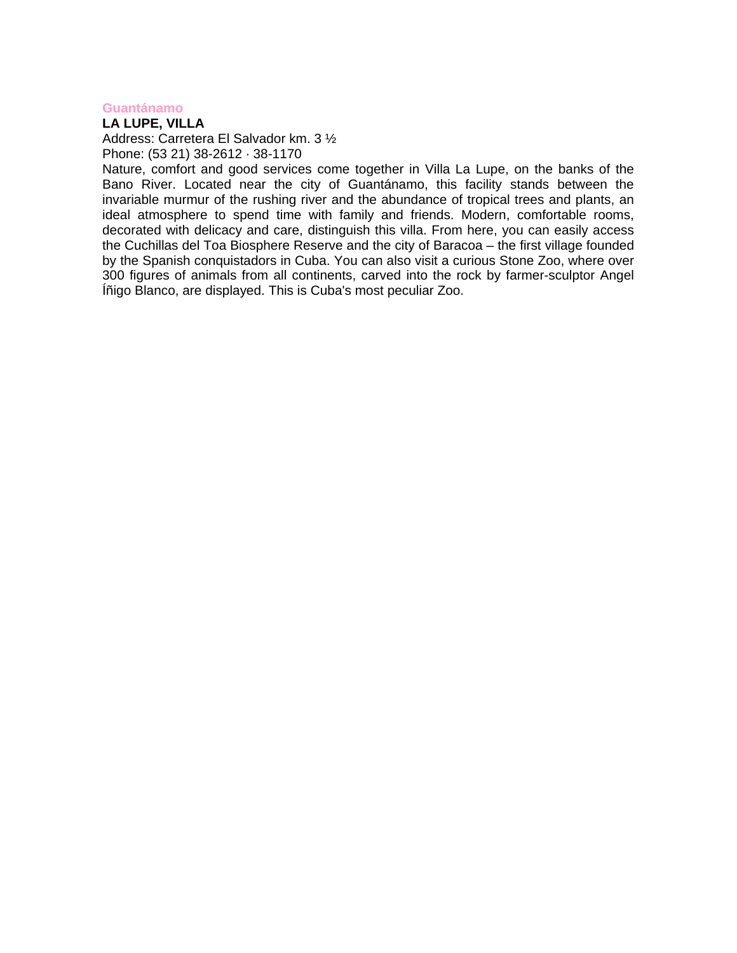#### **Guantánamo**

**LA LUPE, VILLA** 

Address: Carretera El Salvador km. 3 ½ Phone: (53 21) 38-2612 · 38-1170

Nature, comfort and good services come together in Villa La Lupe, on the banks of the Bano River. Located near the city of Guantánamo, this facility stands between the invariable murmur of the rushing river and the abundance of tropical trees and plants, an ideal atmosphere to spend time with family and friends. Modern, comfortable rooms, decorated with delicacy and care, distinguish this villa. From here, you can easily access the Cuchillas del Toa Biosphere Reserve and the city of Baracoa – the first village founded by the Spanish conquistadors in Cuba. You can also visit a curious Stone Zoo, where over 300 figures of animals from all continents, carved into the rock by farmer-sculptor Angel Íñigo Blanco, are displayed. This is Cuba's most peculiar Zoo.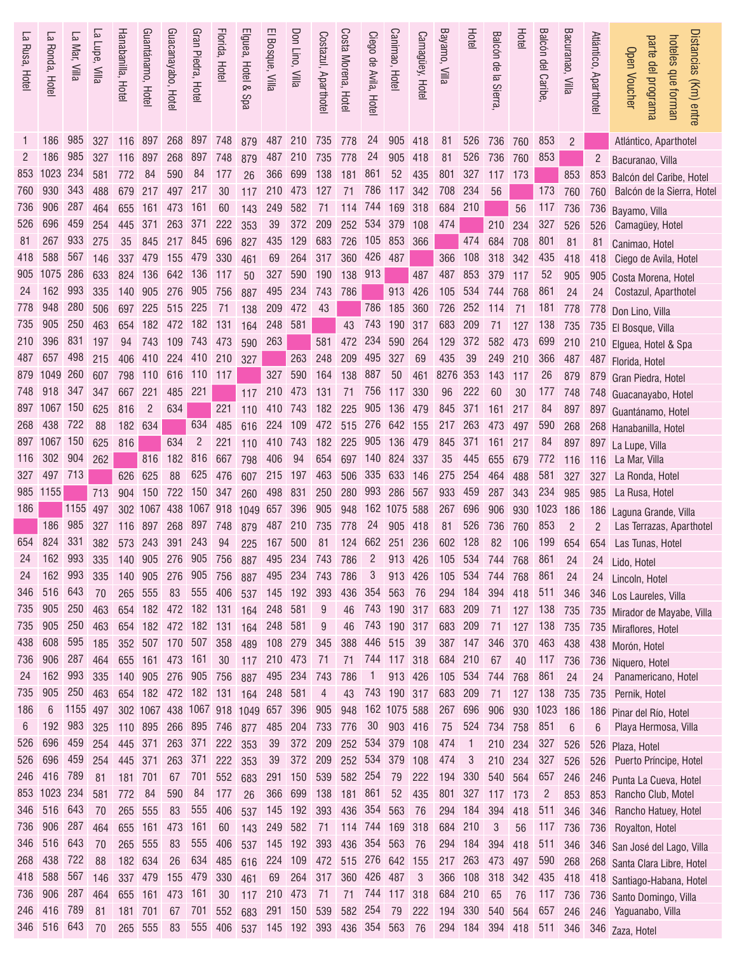| Ρ.<br>Rusa, Hotel | 5<br>Ronda, Hotel  | 5<br>l Mar, Villa | La Lupe, Villa | Hanabanilla, Hotel | Guantánamo, Hotel          | Guacanayabo, Hotel | Gran Piedra, Hotel      | Florida, Hotel | Elguea, Hotel &<br>Spa                         | El Bosque, Villa | Don Lino, Villa | Costazul, Aparthote | Costa Morena, Hotel  | Ciego de Avila, Hotel | Canimao, Hotel                | Camagüey, Hotel         | Bayamo, Villa | Hotel          | Balcón de la Sierra   | Hotel     | Balcón del Caribe     | Bacuranao, Villa | Atlántico, Aparthotel | Distancias (Km) entre<br>hoteles que forman<br>parte del programa<br><b>Open Voucher</b> |
|-------------------|--------------------|-------------------|----------------|--------------------|----------------------------|--------------------|-------------------------|----------------|------------------------------------------------|------------------|-----------------|---------------------|----------------------|-----------------------|-------------------------------|-------------------------|---------------|----------------|-----------------------|-----------|-----------------------|------------------|-----------------------|------------------------------------------------------------------------------------------|
|                   | 186                | 985               | 327            |                    | 116 897                    | 268                | 897 748                 |                | 879                                            | 487 210          |                 | 735 778             |                      | 24                    | 905 418                       |                         | 81            | 526            | 736                   | 760       | 853                   | 2                |                       | Atlántico, Aparthotel                                                                    |
| 2                 | 186                | 985               | 327            | 116                | 897                        | 268                | 897                     | 748            | 879                                            | 487              | 210             | 735                 | 778                  | 24                    | 905                           | 418                     | 81            | 526            | 736                   | 760       | 853                   |                  | $\overline{2}$        | Bacuranao, Villa                                                                         |
| 853               | 1023               | 234               | 581            | 772                | 84                         | 590                | 84                      | 177            | 26                                             | 366              | 699             | 138                 | 181                  | 861                   | 52                            | 435                     | 801           | 327            | 117                   | 173       |                       | 853              | 853                   | Balcón del Caribe, Hotel                                                                 |
| 760               | 930                | 343               | 488            | 679                | 217                        | 497                | 217                     | 30             | 117                                            | 210              | 473             | 127                 | 71                   | 786                   | 117 342                       |                         | 708           | 234            | 56                    |           | 173                   | 760              | 760                   | Balcón de la Sierra, Hotel                                                               |
| 736               | 906                | 287               | 464            | 655                | 161                        | 473                | 161                     | 60             | 143                                            | 249              | 582             | 71                  | 114                  | 744                   | 169                           | 318                     | 684           | 210            |                       | 56        | 117                   | 736              | 736                   | Bayamo, Villa                                                                            |
| 526               | 696                | 459               | 254            | 445                | 371                        | 263                | 371                     | 222            | 353                                            | 39               | 372             | 209                 | 252 534              |                       | 379                           | 108                     | 474           |                | 210                   | 234       | 327                   | 526              | 526                   | Camagüey, Hotel                                                                          |
| 81                | 267<br>588         | 933               | 275            | 35                 | 845                        | 217                | 845                     | 696            | 827                                            | 435              | 129             | 683                 |                      |                       | 726 105 853 366               |                         |               | 474            | 684                   | 708       | 801                   | 81               | 81                    | Canimao, Hotel                                                                           |
| 418               | 1075               | 567<br>286        | 146<br>633     | 337                | 479<br>136                 | 155                | 479<br>136              | 330            | 461                                            | 69<br>327        | 264<br>590      | 317<br>190          | 360<br>138           | 426<br>913            | 487                           | 487                     | 366           | 108<br>853     | 318                   | 342       | 435<br>52             | 418              | 418                   | Ciego de Avila, Hotel                                                                    |
| 905<br>24         | 162                | 993               | 335            | 824<br>140         | 905                        | 642<br>276         | 905                     | 117<br>756     | 50                                             | 495              | 234             | 743                 | 786                  |                       | 913                           | 426                     | 487<br>105    | 534            | 379<br>744            | 117       | 861                   | 905              | 905                   | Costa Morena, Hotel                                                                      |
| 778               | 948                | 280               | 506            | 697                | 225                        | 515                | 225                     | -71            | 887<br>138                                     | 209              | 472             | 43                  |                      | 786                   | 185                           | 360                     | 726           | 252            | 114                   | 768<br>71 | 181                   | 24<br>778        | 24                    | Costazul, Aparthotel                                                                     |
| 735               | 905                | 250               | 463            | 654                | 182                        | 472                | 182                     | 131            | 164                                            | 248              | 581             |                     | 43                   | 743                   | 190                           | 317                     | 683           | 209            | 71                    | 127       | 138                   | 735              | 778                   | Don Lino, Villa                                                                          |
| 210               | 396                | 831               | 197            | 94                 | 743                        | 109                | 743                     | 473            | 590                                            | 263              |                 | 581                 | 472                  | 234                   | 590 264                       |                         | 129           | 372            | 582                   | 473       | 699                   | 210              |                       | 735 El Bosque, Villa                                                                     |
| 487               | 657                | 498               | 215            | 406                | 410                        | 224                | 410                     | 210            | 327                                            |                  | 263             | 248                 | 209                  | 495                   | 327                           | 69                      | 435           | 39             | 249                   | 210       | 366                   | 487              |                       | 210 Elguea, Hotel & Spa<br>487 Florida, Hotel                                            |
| 879               | 1049               | 260               | 607            | 798                | 110                        | 616                | 110                     | 117            |                                                | 327              | 590             | 164                 | 138                  | 887                   | 50                            | 461                     | 8276          | 353            | 143                   | 117       | 26                    | 879              | 879                   | Gran Piedra, Hotel                                                                       |
| 748               | 918                | 347               | 347            | 667                | 221                        | 485                | 221                     |                | 117                                            | 210              | 473             | 131                 | 71                   | 756                   | 117 330                       |                         | 96            | 222            | 60                    | 30        | 177                   | 748              | 748                   | Guacanayabo, Hotel                                                                       |
| 897               | 1067 150           |                   | 625            | 816                | 2                          | 634                |                         | 221            | 110                                            | 410              | 743             | 182                 | 225                  | 905                   | 136 479                       |                         | 845           | 371            | 161                   | 217       | 84                    | 897              |                       | 897 Guantánamo, Hotel                                                                    |
| 268               | 438                | 722               | 88             | 182                | 634                        |                    | 634                     | 485            | 616                                            | 224              | 109             | 472                 | 515 276 642 155      |                       |                               |                         | 217           | 263            | 473                   | 497       | 590                   | 268              |                       | 268 Hanabanilla, Hotel                                                                   |
| 897               | 1067 150           |                   | 625            | 816                |                            | 634                | $\overline{c}$          | 221            | 110                                            | 410              | 743             | 182                 | 225                  | 905                   | 136 479                       |                         | 845           | 371            | 161                   | 217       | 84                    | 897              | 897                   | La Lupe, Villa                                                                           |
| 116               | 302 904            |                   | 262            |                    | 816                        | 182                | 816                     | 667            | 798                                            | 406              | 94              | 654                 |                      |                       | 697 140 824 337               |                         | 35            | 445            | 655                   | 679       | 772                   | 116              | 116                   | La Mar, Villa                                                                            |
| 327               | 497                | 713               |                | 626                | 625                        | 88                 | 625                     | 476            | 607                                            | 215              | 197             | 463                 |                      | 506 335 633           |                               | 146                     | 275           | 254            | 464                   | 488       | 581                   | 327              | 327                   | La Ronda, Hotel                                                                          |
| 985               | 1155               |                   | 713            | 904                | 150                        | 722                | 150                     | 347            | 260                                            | 498              | 831             | 250                 |                      | 280 993 286           |                               | 567                     | 933           | 459            | 287                   | 343       | 234                   | 985              | 985                   | La Rusa, Hotel                                                                           |
| 186               |                    | 1155              | 497            |                    | 302 1067 438               |                    | 1067 918                |                | 1049 657                                       |                  | 396             | 905                 | 948                  |                       | 162 1075 588                  |                         | 267           | 696            | 906                   | 930       | 1023                  | 186              | 186                   | Laguna Grande, Villa                                                                     |
|                   | 186                | 985               | 327            | 116                | 897                        | 268                | 897                     | 748            | 879                                            | 487              | 210             | 735                 | 778                  | 24                    | 905                           | 418                     | 81            | 526            | 736                   | 760       | 853                   | $\overline{c}$   | $\overline{2}$        | Las Terrazas, Aparthotel                                                                 |
| 654               | 824                | 331               | 382            | 573                | 243                        | 391                | 243                     | 94             | 225                                            | 167              | 500             | 81                  |                      |                       | 124 662 251 236               |                         | 602           | 128            | 82                    | 106       | 199                   | 654              | 654                   | Las Tunas, Hotel                                                                         |
| 24                | 162                | 993               | 335            | 140                | 905                        | 276                | 905                     | 756            | 887                                            | 495              | 234             | 743                 | 786                  | $\overline{c}$        | 913 426                       |                         |               | 105 534 744    |                       | 768       | 861                   | 24               |                       | 24 Lido, Hotel                                                                           |
| 24<br>346         | 162 993<br>516 643 |                   | 335            |                    |                            |                    |                         |                | 140 905 276 905 756 887 495 234<br>537 145 192 |                  |                 | 743 786             |                      | 3<br>436 354          | 913 426                       |                         |               |                | 105 534 744 768       |           | 861                   | 24               | 24                    | Lincoln, Hotel                                                                           |
| 735               | 905                | 250               | 70<br>463      | 265                | 555                        | 83                 | 555 406                 |                | 654 182 472 182 131 164                        | 248              | 581             | 393<br>9            | 46                   |                       | 563<br>743 190 317            | 76                      | 683 209       | 294 184        | 394 418               |           | 511<br>71 127 138 735 | 346              |                       | 346 Los Laureles, Villa                                                                  |
| 735               | 905                | 250               | 463            |                    |                            |                    | 654 182 472 182 131     |                | 164                                            | 248              | 581             | 9                   | 46                   |                       | 743 190 317                   |                         | 683           | 209            | 71                    | 127       | 138 735               |                  |                       | 735 Mirador de Mayabe, Villa                                                             |
| 438               | 608                | 595               | 185            |                    |                            |                    | 352 507 170 507 358     |                | 489                                            | 108 279          |                 | 345                 | 388                  |                       | 446 515                       | 39                      |               | 387 147        | 346                   | 370       | 463 438               |                  |                       | 735 Miraflores, Hotel<br>438 Morón, Hotel                                                |
| 736               | 906                | 287               | 464            |                    |                            |                    | 655 161 473 161 30      |                | 117                                            | 210 473          |                 | 71                  |                      |                       | 71 744 117 318                |                         | 684 210       |                | 67                    | 40        | 117 736               |                  | 736                   | Niquero, Hotel                                                                           |
| 24                | 162                | 993               | 335            |                    |                            |                    | 140 905 276 905 756     |                | 887                                            | 495 234          |                 | 743                 | 786                  | 1                     | 913 426                       |                         |               | 105 534        | 744                   | 768       | 861                   | 24               | 24                    | Panamericano, Hotel                                                                      |
| 735               | 905                | 250               | 463            |                    |                            |                    |                         |                | 654 182 472 182 131 164 248                    |                  | 581             | $\overline{4}$      | 43                   |                       | 743 190 317                   |                         | 683 209       |                | 71                    | 127       | 138                   | 735              | 735                   | Pernik, Hotel                                                                            |
| 186               | 6                  | 1155 497          |                |                    |                            |                    |                         |                | 302 1067 438 1067 918 1049 657 396             |                  |                 |                     | 905 948 162 1075 588 |                       |                               |                         | 267 696       |                |                       |           | 906 930 1023 186      |                  |                       | 186 Pinar del Río, Hotel                                                                 |
| 6                 | 192 983            |                   | 325            |                    |                            |                    | 110 895 266 895 746 877 |                |                                                | 485              | 204             | 733                 | 776                  | 30                    | 903 416                       |                         | 75            | 524            | 734                   | 758       | 851                   | 6                | 6                     | Playa Hermosa, Villa                                                                     |
| 526               | 696                | 459               | 254            | 445 371            |                            | 263                | 371                     | 222            | 353                                            | 39               | 372             | 209                 |                      |                       | 252 534 379 108               |                         | 474           | $\overline{1}$ | 210                   | 234       | 327                   | 526              | 526                   | Plaza, Hotel                                                                             |
| 526               | 696                | 459               | 254            | 445 371            |                            | 263                | 371                     | 222 353        |                                                | 39               | 372             | 209                 |                      |                       | 252 534 379 108               |                         | 474           | 3              | 210 234               |           | 327                   | 526              |                       | 526 Puerto Príncipe, Hotel                                                               |
| 246               | 416 789            |                   | 81             | 181 701            |                            | 67                 | 701                     | 552            | 683                                            | 291 150          |                 | 539                 | 582 254              |                       | 79                            | 222                     | 194 330       |                | 540 564               |           | 657                   | 246              | 246                   | Punta La Cueva, Hotel                                                                    |
| 853               | 1023 234           |                   | 581            | 772                | -84                        | 590                | 84                      | 177            | 26                                             | 366 699          |                 |                     | 138 181 861          |                       | 52                            | 435                     |               |                | 801 327 117 173       |           | $\overline{2}$        | 853              | 853                   | Rancho Club, Motel                                                                       |
| 346               | 516 643            |                   | 70             |                    | 265 555                    | 83                 | 555                     | 406            | 537                                            | 145 192          |                 |                     | 393 436 354 563      |                       |                               | 76                      |               | 294 184 394    |                       | 418       | 511                   | 346              | 346                   | Rancho Hatuey, Hotel                                                                     |
| 736               |                    | 906 287           | 464            |                    | 655 161 473                |                    | 161                     | 60             | 143                                            | 249 582          |                 |                     | 71 114 744 169 318   |                       |                               |                         | 684 210       |                | 3                     | 56        | 117                   | 736              | 736                   | Royalton, Hotel                                                                          |
| 346               | 516 643            |                   | 70             |                    | 265 555                    | 83                 | 555                     | 406            | 537                                            | 145 192          |                 | 393                 |                      |                       | 436 354 563 76                |                         | 294 184       |                | 394                   | 418       | 511                   | 346              |                       | 346 San José del Lago, Villa                                                             |
| 268               | 438<br>588         | 722<br>567        | 88             | 182 634            |                            | 26                 | 634                     | 485            | 616                                            | 224              | 109             |                     | 472 515 276 642 155  |                       |                               |                         |               | 217 263        | 473 497               |           | 590                   | 268              |                       | 268 Santa Clara Libre, Hotel                                                             |
| 418<br>736        | 906                | 287               | 146<br>464     |                    | 337 479 155<br>655 161 473 |                    | 479 330<br>161          | 30             | 461                                            | 69<br>210 473    | 264             | 317<br>71           |                      |                       | 360 426 487<br>71 744 117 318 | $\overline{\mathbf{3}}$ | 684 210       |                | 366 108 318 342<br>65 |           | 435 418               |                  |                       | 418 Santiago-Habana, Hotel                                                               |
|                   |                    |                   |                |                    |                            |                    |                         |                | 117                                            |                  |                 |                     |                      |                       |                               |                         |               |                |                       | 76        | 117                   | 736              |                       | 736 Santo Domingo, Villa                                                                 |
| 246               | 416                | 789               | 81             | 181 701            |                            | 67                 | 701 552                 |                | 683                                            | 291 150          |                 |                     | 539 582 254 79       |                       |                               | 222                     | 194 330       |                | 540                   | 564       | 657 246               |                  |                       | 246 Yaguanabo, Villa                                                                     |